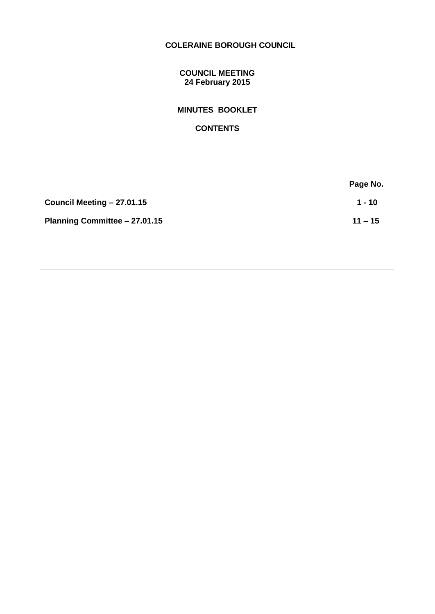# **COLERAINE BOROUGH COUNCIL**

## **COUNCIL MEETING 24 February 2015**

**MINUTES BOOKLET** 

**CONTENTS**

|                               | Page No.  |
|-------------------------------|-----------|
| Council Meeting - 27.01.15    | $1 - 10$  |
| Planning Committee - 27.01.15 | $11 - 15$ |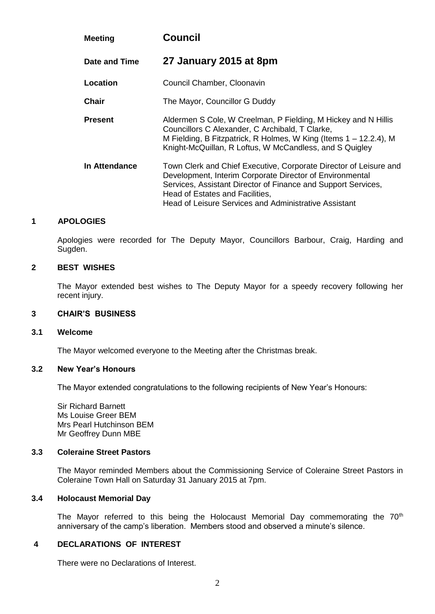| <b>Meeting</b> | <b>Council</b>                                                                                                                                                                                                                                                                             |
|----------------|--------------------------------------------------------------------------------------------------------------------------------------------------------------------------------------------------------------------------------------------------------------------------------------------|
| Date and Time  | 27 January 2015 at 8pm                                                                                                                                                                                                                                                                     |
| Location       | Council Chamber, Cloonavin                                                                                                                                                                                                                                                                 |
| <b>Chair</b>   | The Mayor, Councillor G Duddy                                                                                                                                                                                                                                                              |
| <b>Present</b> | Aldermen S Cole, W Creelman, P Fielding, M Hickey and N Hillis<br>Councillors C Alexander, C Archibald, T Clarke,<br>M Fielding, B Fitzpatrick, R Holmes, W King (Items 1 – 12.2.4), M<br>Knight-McQuillan, R Loftus, W McCandless, and S Quigley                                          |
| In Attendance  | Town Clerk and Chief Executive, Corporate Director of Leisure and<br>Development, Interim Corporate Director of Environmental<br>Services, Assistant Director of Finance and Support Services,<br>Head of Estates and Facilities,<br>Head of Leisure Services and Administrative Assistant |

### **1 APOLOGIES**

Apologies were recorded for The Deputy Mayor, Councillors Barbour, Craig, Harding and Sugden.

## **2 BEST WISHES**

The Mayor extended best wishes to The Deputy Mayor for a speedy recovery following her recent injury.

#### **3 CHAIR'S BUSINESS**

#### **3.1 Welcome**

The Mayor welcomed everyone to the Meeting after the Christmas break.

#### **3.2 New Year's Honours**

The Mayor extended congratulations to the following recipients of New Year's Honours:

Sir Richard Barnett Ms Louise Greer BEM Mrs Pearl Hutchinson BEM Mr Geoffrey Dunn MBE

## **3.3 Coleraine Street Pastors**

The Mayor reminded Members about the Commissioning Service of Coleraine Street Pastors in Coleraine Town Hall on Saturday 31 January 2015 at 7pm.

## **3.4 Holocaust Memorial Day**

The Mayor referred to this being the Holocaust Memorial Day commemorating the 70<sup>th</sup> anniversary of the camp's liberation. Members stood and observed a minute's silence.

### **4 DECLARATIONS OF INTEREST**

There were no Declarations of Interest.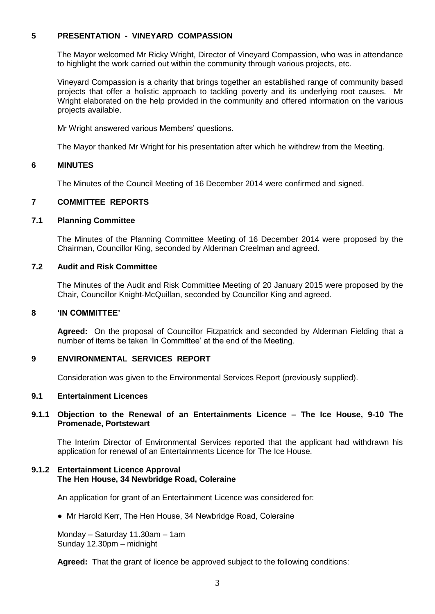## **5 PRESENTATION - VINEYARD COMPASSION**

The Mayor welcomed Mr Ricky Wright, Director of Vineyard Compassion, who was in attendance to highlight the work carried out within the community through various projects, etc.

Vineyard Compassion is a charity that brings together an established range of community based projects that offer a holistic approach to tackling poverty and its underlying root causes. Mr Wright elaborated on the help provided in the community and offered information on the various projects available.

Mr Wright answered various Members' questions.

The Mayor thanked Mr Wright for his presentation after which he withdrew from the Meeting.

### **6 MINUTES**

The Minutes of the Council Meeting of 16 December 2014 were confirmed and signed.

## **7 COMMITTEE REPORTS**

### **7.1 Planning Committee**

The Minutes of the Planning Committee Meeting of 16 December 2014 were proposed by the Chairman, Councillor King, seconded by Alderman Creelman and agreed.

### **7.2 Audit and Risk Committee**

The Minutes of the Audit and Risk Committee Meeting of 20 January 2015 were proposed by the Chair, Councillor Knight-McQuillan, seconded by Councillor King and agreed.

## **8 'IN COMMITTEE'**

**Agreed:** On the proposal of Councillor Fitzpatrick and seconded by Alderman Fielding that a number of items be taken 'In Committee' at the end of the Meeting.

## **9 ENVIRONMENTAL SERVICES REPORT**

Consideration was given to the Environmental Services Report (previously supplied).

### **9.1 Entertainment Licences**

## **9.1.1 Objection to the Renewal of an Entertainments Licence – The Ice House, 9-10 The Promenade, Portstewart**

The Interim Director of Environmental Services reported that the applicant had withdrawn his application for renewal of an Entertainments Licence for The Ice House.

### **9.1.2 Entertainment Licence Approval The Hen House, 34 Newbridge Road, Coleraine**

An application for grant of an Entertainment Licence was considered for:

• Mr Harold Kerr, The Hen House, 34 Newbridge Road, Coleraine

Monday – Saturday 11.30am – 1am Sunday 12.30pm – midnight

**Agreed:** That the grant of licence be approved subject to the following conditions: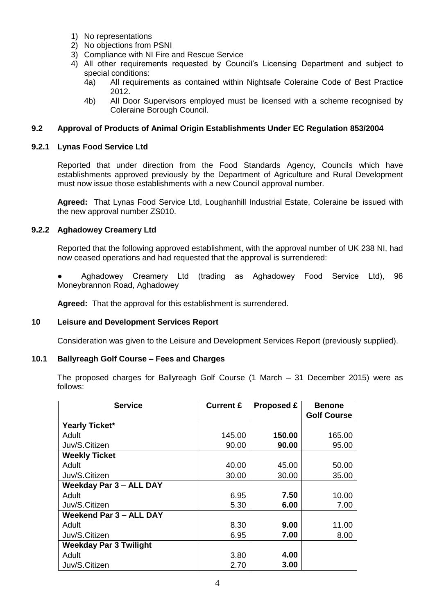- 1) No representations
- 2) No objections from PSNI
- 3) Compliance with NI Fire and Rescue Service
- 4) All other requirements requested by Council's Licensing Department and subject to special conditions:
	- 4a) All requirements as contained within Nightsafe Coleraine Code of Best Practice 2012.
	- 4b) All Door Supervisors employed must be licensed with a scheme recognised by Coleraine Borough Council.

## **9.2 Approval of Products of Animal Origin Establishments Under EC Regulation 853/2004**

## **9.2.1 Lynas Food Service Ltd**

Reported that under direction from the Food Standards Agency, Councils which have establishments approved previously by the Department of Agriculture and Rural Development must now issue those establishments with a new Council approval number.

**Agreed:** That Lynas Food Service Ltd, Loughanhill Industrial Estate, Coleraine be issued with the new approval number ZS010.

### **9.2.2 Aghadowey Creamery Ltd**

Reported that the following approved establishment, with the approval number of UK 238 NI, had now ceased operations and had requested that the approval is surrendered:

Aghadowey Creamery Ltd (trading as Aghadowey Food Service Ltd), 96 Moneybrannon Road, Aghadowey

**Agreed:** That the approval for this establishment is surrendered.

## **10 Leisure and Development Services Report**

Consideration was given to the Leisure and Development Services Report (previously supplied).

## **10.1 Ballyreagh Golf Course – Fees and Charges**

The proposed charges for Ballyreagh Golf Course (1 March – 31 December 2015) were as follows:

| <b>Service</b>                 | <b>Current £</b> | <b>Proposed £</b> | <b>Benone</b>      |
|--------------------------------|------------------|-------------------|--------------------|
|                                |                  |                   | <b>Golf Course</b> |
| Yearly Ticket*                 |                  |                   |                    |
| Adult                          | 145.00           | 150.00            | 165.00             |
| Juv/S.Citizen                  | 90.00            | 90.00             | 95.00              |
| <b>Weekly Ticket</b>           |                  |                   |                    |
| Adult                          | 40.00            | 45.00             | 50.00              |
| Juv/S.Citizen                  | 30.00            | 30.00             | 35.00              |
| <b>Weekday Par 3 - ALL DAY</b> |                  |                   |                    |
| Adult                          | 6.95             | 7.50              | 10.00              |
| Juv/S.Citizen                  | 5.30             | 6.00              | 7.00               |
| Weekend Par 3 - ALL DAY        |                  |                   |                    |
| Adult                          | 8.30             | 9.00              | 11.00              |
| Juv/S.Citizen                  | 6.95             | 7.00              | 8.00               |
| <b>Weekday Par 3 Twilight</b>  |                  |                   |                    |
| Adult                          | 3.80             | 4.00              |                    |
| Juv/S.Citizen                  | 2.70             | 3.00              |                    |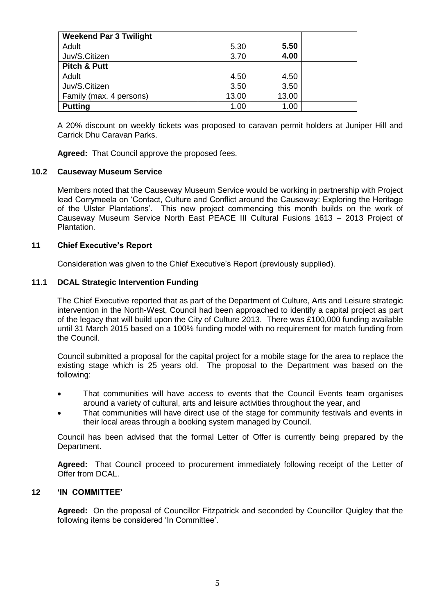| <b>Weekend Par 3 Twilight</b> |       |       |  |
|-------------------------------|-------|-------|--|
| Adult                         | 5.30  | 5.50  |  |
| Juv/S.Citizen                 | 3.70  | 4.00  |  |
| <b>Pitch &amp; Putt</b>       |       |       |  |
| Adult                         | 4.50  | 4.50  |  |
| Juv/S.Citizen                 | 3.50  | 3.50  |  |
| Family (max. 4 persons)       | 13.00 | 13.00 |  |
| <b>Putting</b>                | 1.00  | 1.00  |  |

A 20% discount on weekly tickets was proposed to caravan permit holders at Juniper Hill and Carrick Dhu Caravan Parks.

**Agreed:** That Council approve the proposed fees.

## **10.2 Causeway Museum Service**

Members noted that the Causeway Museum Service would be working in partnership with Project lead Corrymeela on 'Contact, Culture and Conflict around the Causeway: Exploring the Heritage of the Ulster Plantations'. This new project commencing this month builds on the work of Causeway Museum Service North East PEACE III Cultural Fusions 1613 – 2013 Project of Plantation.

## **11 Chief Executive's Report**

Consideration was given to the Chief Executive's Report (previously supplied).

## **11.1 DCAL Strategic Intervention Funding**

The Chief Executive reported that as part of the Department of Culture, Arts and Leisure strategic intervention in the North-West, Council had been approached to identify a capital project as part of the legacy that will build upon the City of Culture 2013. There was £100,000 funding available until 31 March 2015 based on a 100% funding model with no requirement for match funding from the Council.

Council submitted a proposal for the capital project for a mobile stage for the area to replace the existing stage which is 25 years old. The proposal to the Department was based on the following:

- That communities will have access to events that the Council Events team organises around a variety of cultural, arts and leisure activities throughout the year, and
- That communities will have direct use of the stage for community festivals and events in their local areas through a booking system managed by Council.

Council has been advised that the formal Letter of Offer is currently being prepared by the Department.

**Agreed:** That Council proceed to procurement immediately following receipt of the Letter of Offer from DCAL.

## **12 'IN COMMITTEE'**

**Agreed:** On the proposal of Councillor Fitzpatrick and seconded by Councillor Quigley that the following items be considered 'In Committee'.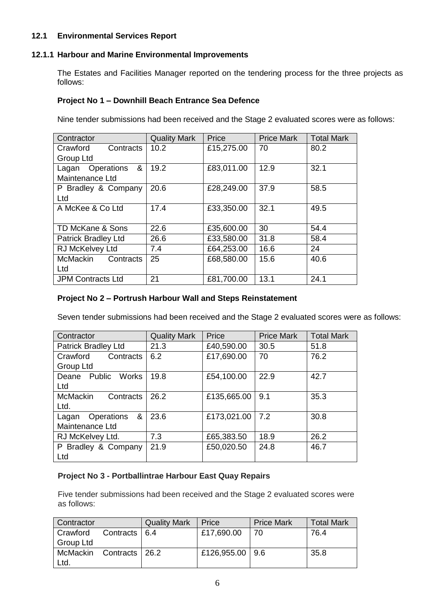## **12.1 Environmental Services Report**

## **12.1.1 Harbour and Marine Environmental Improvements**

The Estates and Facilities Manager reported on the tendering process for the three projects as follows:

## **Project No 1 – Downhill Beach Entrance Sea Defence**

Nine tender submissions had been received and the Stage 2 evaluated scores were as follows:

| Contractor                   | <b>Quality Mark</b> | Price      | <b>Price Mark</b> | <b>Total Mark</b> |
|------------------------------|---------------------|------------|-------------------|-------------------|
| Crawford<br>Contracts        | 10.2                | £15,275.00 | 70                | 80.2              |
| Group Ltd                    |                     |            |                   |                   |
| &<br>Operations<br>Lagan     | 19.2                | £83,011.00 | 12.9              | 32.1              |
| Maintenance Ltd              |                     |            |                   |                   |
| P Bradley & Company          | 20.6                | £28,249.00 | 37.9              | 58.5              |
| Ltd                          |                     |            |                   |                   |
| A McKee & Co Ltd             | 17.4                | £33,350.00 | 32.1              | 49.5              |
|                              |                     |            |                   |                   |
| TD McKane & Sons             | 22.6                | £35,600.00 | 30                | 54.4              |
| <b>Patrick Bradley Ltd</b>   | 26.6                | £33,580.00 | 31.8              | 58.4              |
| RJ McKelvey Ltd              | 7.4                 | £64,253.00 | 16.6              | 24                |
| <b>McMackin</b><br>Contracts | 25                  | £68,580.00 | 15.6              | 40.6              |
| Ltd                          |                     |            |                   |                   |
| <b>JPM Contracts Ltd</b>     | 21                  | £81,700.00 | 13.1              | 24.1              |

## **Project No 2 – Portrush Harbour Wall and Steps Reinstatement**

Seven tender submissions had been received and the Stage 2 evaluated scores were as follows:

| Contractor                   | <b>Quality Mark</b> | Price       | <b>Price Mark</b> | <b>Total Mark</b> |
|------------------------------|---------------------|-------------|-------------------|-------------------|
| <b>Patrick Bradley Ltd</b>   | 21.3                | £40,590.00  | 30.5              | 51.8              |
| Contracts<br>Crawford        | 6.2                 | £17,690.00  | 70                | 76.2              |
| Group Ltd                    |                     |             |                   |                   |
| Deane Public Works           | 19.8                | £54,100.00  | 22.9              | 42.7              |
| Ltd                          |                     |             |                   |                   |
| <b>McMackin</b><br>Contracts | 26.2                | £135,665.00 | 9.1               | 35.3              |
| Ltd.                         |                     |             |                   |                   |
| &<br>Operations<br>Lagan     | 23.6                | £173,021.00 | 7.2               | 30.8              |
| Maintenance Ltd              |                     |             |                   |                   |
| RJ McKelvey Ltd.             | 7.3                 | £65,383.50  | 18.9              | 26.2              |
| P Bradley & Company          | 21.9                | £50,020.50  | 24.8              | 46.7              |
| Ltd                          |                     |             |                   |                   |

## **Project No 3 - Portballintrae Harbour East Quay Repairs**

Five tender submissions had been received and the Stage 2 evaluated scores were as follows:

| Contractor |                 | <b>Quality Mark</b> | Price               | <b>Price Mark</b> | <b>Total Mark</b> |
|------------|-----------------|---------------------|---------------------|-------------------|-------------------|
| Crawford   | Contracts   6.4 |                     | £17,690.00          | 70                | 76.4              |
| Group Ltd  |                 |                     |                     |                   |                   |
| McMackin   | Contracts       | -26.2               | £126,955.00   $9.6$ |                   | 35.8              |
| Ltd.       |                 |                     |                     |                   |                   |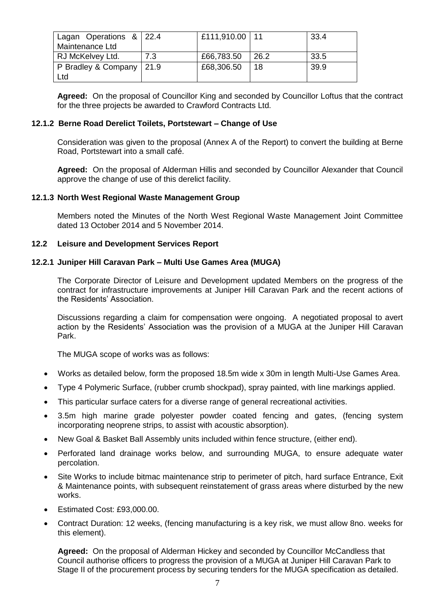| Lagan Operations & 22.4    |     | £111,910.00   11 |      | 33.4  |
|----------------------------|-----|------------------|------|-------|
| Maintenance Ltd            |     |                  |      |       |
| RJ McKelvey Ltd.           | 7.3 | £66,783.50       | 26.2 | -33.5 |
| P Bradley & Company   21.9 |     | £68,306.50       | 18   | 39.9  |
| Ltd                        |     |                  |      |       |

**Agreed:** On the proposal of Councillor King and seconded by Councillor Loftus that the contract for the three projects be awarded to Crawford Contracts Ltd.

## **12.1.2 Berne Road Derelict Toilets, Portstewart – Change of Use**

Consideration was given to the proposal (Annex A of the Report) to convert the building at Berne Road, Portstewart into a small café.

**Agreed:** On the proposal of Alderman Hillis and seconded by Councillor Alexander that Council approve the change of use of this derelict facility.

### **12.1.3 North West Regional Waste Management Group**

Members noted the Minutes of the North West Regional Waste Management Joint Committee dated 13 October 2014 and 5 November 2014.

### **12.2 Leisure and Development Services Report**

### **12.2.1 Juniper Hill Caravan Park – Multi Use Games Area (MUGA)**

The Corporate Director of Leisure and Development updated Members on the progress of the contract for infrastructure improvements at Juniper Hill Caravan Park and the recent actions of the Residents' Association.

Discussions regarding a claim for compensation were ongoing. A negotiated proposal to avert action by the Residents' Association was the provision of a MUGA at the Juniper Hill Caravan Park.

The MUGA scope of works was as follows:

- Works as detailed below, form the proposed 18.5m wide x 30m in length Multi-Use Games Area.
- Type 4 Polymeric Surface, (rubber crumb shockpad), spray painted, with line markings applied.
- This particular surface caters for a diverse range of general recreational activities.
- 3.5m high marine grade polyester powder coated fencing and gates, (fencing system incorporating neoprene strips, to assist with acoustic absorption).
- New Goal & Basket Ball Assembly units included within fence structure, (either end).
- Perforated land drainage works below, and surrounding MUGA, to ensure adequate water percolation.
- Site Works to include bitmac maintenance strip to perimeter of pitch, hard surface Entrance, Exit & Maintenance points, with subsequent reinstatement of grass areas where disturbed by the new works.
- Estimated Cost: £93,000.00.
- Contract Duration: 12 weeks, (fencing manufacturing is a key risk, we must allow 8no. weeks for this element).

**Agreed:** On the proposal of Alderman Hickey and seconded by Councillor McCandless that Council authorise officers to progress the provision of a MUGA at Juniper Hill Caravan Park to Stage II of the procurement process by securing tenders for the MUGA specification as detailed.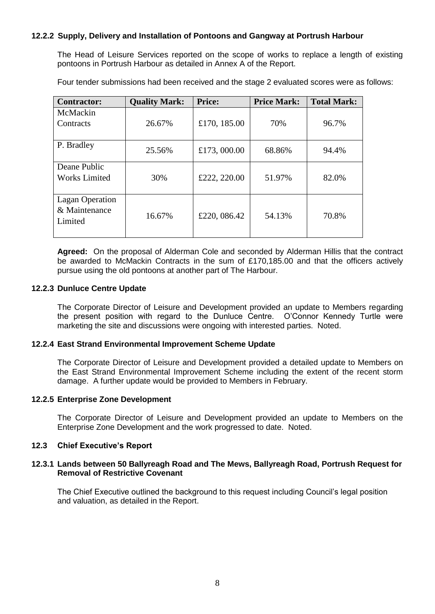## **12.2.2 Supply, Delivery and Installation of Pontoons and Gangway at Portrush Harbour**

The Head of Leisure Services reported on the scope of works to replace a length of existing pontoons in Portrush Harbour as detailed in Annex A of the Report.

Four tender submissions had been received and the stage 2 evaluated scores were as follows:

| <b>Contractor:</b>                                 | <b>Quality Mark:</b> | <b>Price:</b> | <b>Price Mark:</b> | <b>Total Mark:</b> |
|----------------------------------------------------|----------------------|---------------|--------------------|--------------------|
| McMackin<br>Contracts                              | 26.67%               | £170, 185.00  | 70%                | 96.7%              |
| P. Bradley                                         | 25.56%               | £173,000.00   | 68.86%             | 94.4%              |
| Deane Public<br><b>Works Limited</b>               | 30%                  | £222, 220.00  | 51.97%             | 82.0%              |
| <b>Lagan Operation</b><br>& Maintenance<br>Limited | 16.67%               | £220, 086.42  | 54.13%             | 70.8%              |

**Agreed:** On the proposal of Alderman Cole and seconded by Alderman Hillis that the contract be awarded to McMackin Contracts in the sum of £170,185.00 and that the officers actively pursue using the old pontoons at another part of The Harbour.

### **12.2.3 Dunluce Centre Update**

The Corporate Director of Leisure and Development provided an update to Members regarding the present position with regard to the Dunluce Centre. O'Connor Kennedy Turtle were marketing the site and discussions were ongoing with interested parties. Noted.

#### **12.2.4 East Strand Environmental Improvement Scheme Update**

The Corporate Director of Leisure and Development provided a detailed update to Members on the East Strand Environmental Improvement Scheme including the extent of the recent storm damage. A further update would be provided to Members in February.

## **12.2.5 Enterprise Zone Development**

The Corporate Director of Leisure and Development provided an update to Members on the Enterprise Zone Development and the work progressed to date. Noted.

## **12.3 Chief Executive's Report**

### **12.3.1 Lands between 50 Ballyreagh Road and The Mews, Ballyreagh Road, Portrush Request for Removal of Restrictive Covenant**

The Chief Executive outlined the background to this request including Council's legal position and valuation, as detailed in the Report.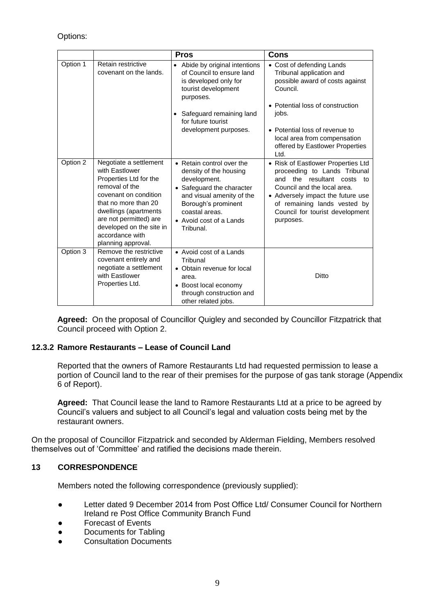# Options:

|          |                                                                                                                                                                                                                                                               | <b>Pros</b>                                                                                                                                                                                                    | <b>Cons</b>                                                                                                                                                                                                                                                    |
|----------|---------------------------------------------------------------------------------------------------------------------------------------------------------------------------------------------------------------------------------------------------------------|----------------------------------------------------------------------------------------------------------------------------------------------------------------------------------------------------------------|----------------------------------------------------------------------------------------------------------------------------------------------------------------------------------------------------------------------------------------------------------------|
| Option 1 | Retain restrictive<br>covenant on the lands.                                                                                                                                                                                                                  | • Abide by original intentions<br>of Council to ensure land<br>is developed only for<br>tourist development<br>purposes.<br>• Safeguard remaining land<br>for future tourist<br>development purposes.          | • Cost of defending Lands<br>Tribunal application and<br>possible award of costs against<br>Council.<br>• Potential loss of construction<br>jobs.<br>• Potential loss of revenue to<br>local area from compensation<br>offered by Eastlower Properties<br>Ltd. |
| Option 2 | Negotiate a settlement<br>with Eastlower<br>Properties Ltd for the<br>removal of the<br>covenant on condition<br>that no more than 20<br>dwellings (apartments<br>are not permitted) are<br>developed on the site in<br>accordance with<br>planning approval. | • Retain control over the<br>density of the housing<br>development.<br>• Safeguard the character<br>and visual amenity of the<br>Borough's prominent<br>coastal areas.<br>• Avoid cost of a Lands<br>Tribunal. | • Risk of Eastlower Properties Ltd<br>proceeding to Lands Tribunal<br>the resultant costs to<br>and<br>Council and the local area.<br>• Adversely impact the future use<br>of remaining lands vested by<br>Council for tourist development<br>purposes.        |
| Option 3 | Remove the restrictive<br>covenant entirely and<br>negotiate a settlement<br>with Eastlower<br>Properties Ltd.                                                                                                                                                | • Avoid cost of a Lands<br>Tribunal<br>• Obtain revenue for local<br>area.<br>• Boost local economy<br>through construction and<br>other related jobs.                                                         | Ditto                                                                                                                                                                                                                                                          |

**Agreed:** On the proposal of Councillor Quigley and seconded by Councillor Fitzpatrick that Council proceed with Option 2.

# **12.3.2 Ramore Restaurants – Lease of Council Land**

Reported that the owners of Ramore Restaurants Ltd had requested permission to lease a portion of Council land to the rear of their premises for the purpose of gas tank storage (Appendix 6 of Report).

**Agreed:** That Council lease the land to Ramore Restaurants Ltd at a price to be agreed by Council's valuers and subject to all Council's legal and valuation costs being met by the restaurant owners.

On the proposal of Councillor Fitzpatrick and seconded by Alderman Fielding, Members resolved themselves out of 'Committee' and ratified the decisions made therein.

## **13 CORRESPONDENCE**

Members noted the following correspondence (previously supplied):

- Letter dated 9 December 2014 from Post Office Ltd/ Consumer Council for Northern Ireland re Post Office Community Branch Fund
- Forecast of Events
- Documents for Tabling
- **Consultation Documents**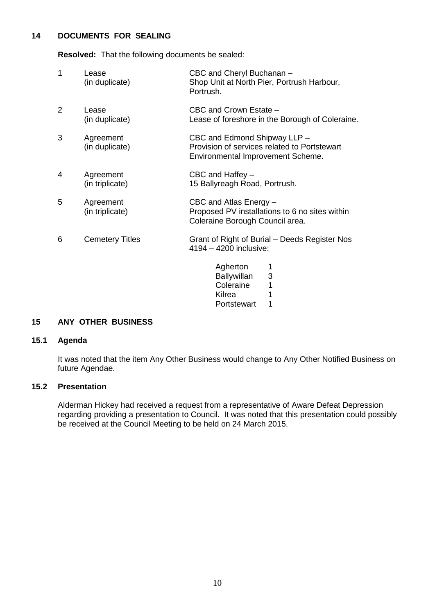# **14 DOCUMENTS FOR SEALING**

**Resolved:** That the following documents be sealed:

| 1 | Lease<br>(in duplicate)      | CBC and Cheryl Buchanan -<br>Shop Unit at North Pier, Portrush Harbour,<br>Portrush.                              |
|---|------------------------------|-------------------------------------------------------------------------------------------------------------------|
| 2 | Lease<br>(in duplicate)      | CBC and Crown Estate -<br>Lease of foreshore in the Borough of Coleraine.                                         |
| 3 | Agreement<br>(in duplicate)  | CBC and Edmond Shipway LLP -<br>Provision of services related to Portstewart<br>Environmental Improvement Scheme. |
| 4 | Agreement<br>(in triplicate) | CBC and Haffey -<br>15 Ballyreagh Road, Portrush.                                                                 |
| 5 | Agreement<br>(in triplicate) | CBC and Atlas Energy -<br>Proposed PV installations to 6 no sites within<br>Coleraine Borough Council area.       |
| 6 | <b>Cemetery Titles</b>       | Grant of Right of Burial - Deeds Register Nos<br>4194 - 4200 inclusive:                                           |
|   |                              | Agherton<br><b>Ballywillan</b><br>3<br>Coleraine<br>1<br>Kilrea<br>1<br>1<br>Portstewart                          |

## **15 ANY OTHER BUSINESS**

## **15.1 Agenda**

It was noted that the item Any Other Business would change to Any Other Notified Business on future Agendae.

## **15.2 Presentation**

Alderman Hickey had received a request from a representative of Aware Defeat Depression regarding providing a presentation to Council. It was noted that this presentation could possibly be received at the Council Meeting to be held on 24 March 2015.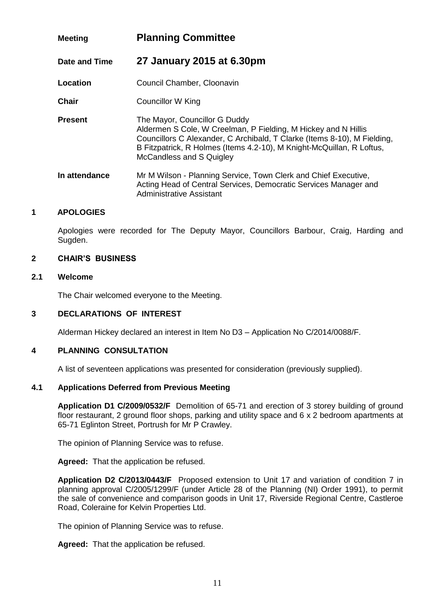# **Meeting Planning Committee**

**Date and Time 27 January 2015 at 6.30pm**

**Location Council Chamber, Cloonavin** 

- **Chair** Councillor W King
- **Present** The Mayor, Councillor G Duddy Aldermen S Cole, W Creelman, P Fielding, M Hickey and N Hillis Councillors C Alexander, C Archibald, T Clarke (Items 8-10), M Fielding, B Fitzpatrick, R Holmes (Items 4.2-10), M Knight-McQuillan, R Loftus, McCandless and S Quigley
- **In attendance** Mr M Wilson Planning Service, Town Clerk and Chief Executive, Acting Head of Central Services, Democratic Services Manager and Administrative Assistant

## **1 APOLOGIES**

Apologies were recorded for The Deputy Mayor, Councillors Barbour, Craig, Harding and Sugden.

## **2 CHAIR'S BUSINESS**

### **2.1 Welcome**

The Chair welcomed everyone to the Meeting.

## **3 DECLARATIONS OF INTEREST**

Alderman Hickey declared an interest in Item No D3 – Application No C/2014/0088/F.

## **4 PLANNING CONSULTATION**

A list of seventeen applications was presented for consideration (previously supplied).

## **4.1 Applications Deferred from Previous Meeting**

**Application D1 C/2009/0532/F** Demolition of 65-71 and erection of 3 storey building of ground floor restaurant, 2 ground floor shops, parking and utility space and 6 x 2 bedroom apartments at 65-71 Eglinton Street, Portrush for Mr P Crawley.

The opinion of Planning Service was to refuse.

**Agreed:** That the application be refused.

**Application D2 C/2013/0443/F** Proposed extension to Unit 17 and variation of condition 7 in planning approval C/2005/1299/F (under Article 28 of the Planning (NI) Order 1991), to permit the sale of convenience and comparison goods in Unit 17, Riverside Regional Centre, Castleroe Road, Coleraine for Kelvin Properties Ltd.

The opinion of Planning Service was to refuse.

**Agreed:** That the application be refused.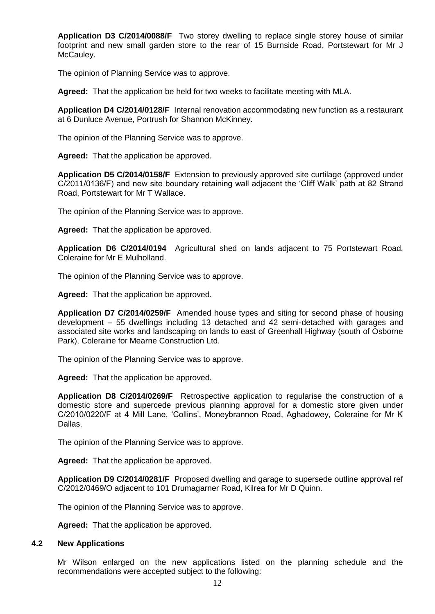**Application D3 C/2014/0088/F** Two storey dwelling to replace single storey house of similar footprint and new small garden store to the rear of 15 Burnside Road, Portstewart for Mr J McCauley.

The opinion of Planning Service was to approve.

**Agreed:** That the application be held for two weeks to facilitate meeting with MLA.

**Application D4 C/2014/0128/F** Internal renovation accommodating new function as a restaurant at 6 Dunluce Avenue, Portrush for Shannon McKinney.

The opinion of the Planning Service was to approve.

**Agreed:** That the application be approved.

**Application D5 C/2014/0158/F** Extension to previously approved site curtilage (approved under C/2011/0136/F) and new site boundary retaining wall adjacent the 'Cliff Walk' path at 82 Strand Road, Portstewart for Mr T Wallace.

The opinion of the Planning Service was to approve.

**Agreed:** That the application be approved.

**Application D6 C/2014/0194** Agricultural shed on lands adjacent to 75 Portstewart Road, Coleraine for Mr E Mulholland.

The opinion of the Planning Service was to approve.

**Agreed:** That the application be approved.

**Application D7 C/2014/0259/F** Amended house types and siting for second phase of housing development – 55 dwellings including 13 detached and 42 semi-detached with garages and associated site works and landscaping on lands to east of Greenhall Highway (south of Osborne Park), Coleraine for Mearne Construction Ltd.

The opinion of the Planning Service was to approve.

**Agreed:** That the application be approved.

**Application D8 C/2014/0269/F** Retrospective application to regularise the construction of a domestic store and supercede previous planning approval for a domestic store given under C/2010/0220/F at 4 Mill Lane, 'Collins', Moneybrannon Road, Aghadowey, Coleraine for Mr K Dallas.

The opinion of the Planning Service was to approve.

**Agreed:** That the application be approved.

**Application D9 C/2014/0281/F** Proposed dwelling and garage to supersede outline approval ref C/2012/0469/O adjacent to 101 Drumagarner Road, Kilrea for Mr D Quinn.

The opinion of the Planning Service was to approve.

**Agreed:** That the application be approved.

#### **4.2 New Applications**

Mr Wilson enlarged on the new applications listed on the planning schedule and the recommendations were accepted subject to the following: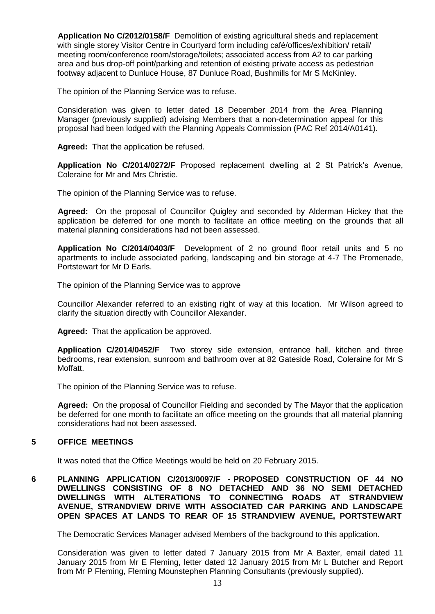**Application No C/2012/0158/F** Demolition of existing agricultural sheds and replacement with single storey Visitor Centre in Courtyard form including café/offices/exhibition/ retail/ meeting room/conference room/storage/toilets; associated access from A2 to car parking area and bus drop-off point/parking and retention of existing private access as pedestrian footway adjacent to Dunluce House, 87 Dunluce Road, Bushmills for Mr S McKinley.

The opinion of the Planning Service was to refuse.

Consideration was given to letter dated 18 December 2014 from the Area Planning Manager (previously supplied) advising Members that a non-determination appeal for this proposal had been lodged with the Planning Appeals Commission (PAC Ref 2014/A0141).

**Agreed:** That the application be refused.

**Application No C/2014/0272/F** Proposed replacement dwelling at 2 St Patrick's Avenue, Coleraine for Mr and Mrs Christie.

The opinion of the Planning Service was to refuse.

**Agreed:** On the proposal of Councillor Quigley and seconded by Alderman Hickey that the application be deferred for one month to facilitate an office meeting on the grounds that all material planning considerations had not been assessed.

**Application No C/2014/0403/F** Development of 2 no ground floor retail units and 5 no apartments to include associated parking, landscaping and bin storage at 4-7 The Promenade, Portstewart for Mr D Earls.

The opinion of the Planning Service was to approve

Councillor Alexander referred to an existing right of way at this location. Mr Wilson agreed to clarify the situation directly with Councillor Alexander.

**Agreed:** That the application be approved.

**Application C/2014/0452/F** Two storey side extension, entrance hall, kitchen and three bedrooms, rear extension, sunroom and bathroom over at 82 Gateside Road, Coleraine for Mr S Moffatt.

The opinion of the Planning Service was to refuse.

**Agreed:** On the proposal of Councillor Fielding and seconded by The Mayor that the application be deferred for one month to facilitate an office meeting on the grounds that all material planning considerations had not been assessed**.**

# **5 OFFICE MEETINGS**

It was noted that the Office Meetings would be held on 20 February 2015.

**6 PLANNING APPLICATION C/2013/0097/F - PROPOSED CONSTRUCTION OF 44 NO DWELLINGS CONSISTING OF 8 NO DETACHED AND 36 NO SEMI DETACHED DWELLINGS WITH ALTERATIONS TO CONNECTING ROADS AT STRANDVIEW AVENUE, STRANDVIEW DRIVE WITH ASSOCIATED CAR PARKING AND LANDSCAPE OPEN SPACES AT LANDS TO REAR OF 15 STRANDVIEW AVENUE, PORTSTEWART**

The Democratic Services Manager advised Members of the background to this application.

Consideration was given to letter dated 7 January 2015 from Mr A Baxter, email dated 11 January 2015 from Mr E Fleming, letter dated 12 January 2015 from Mr L Butcher and Report from Mr P Fleming, Fleming Mounstephen Planning Consultants (previously supplied).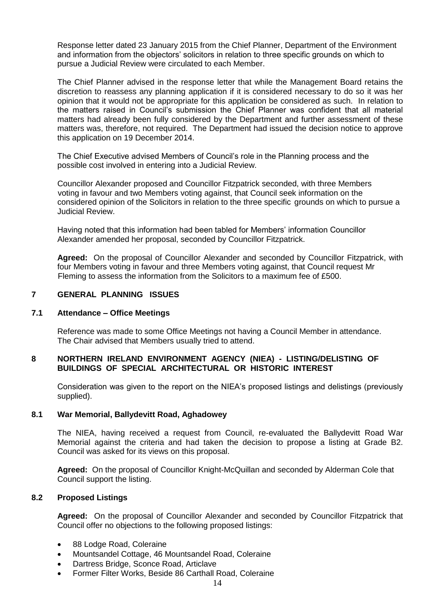Response letter dated 23 January 2015 from the Chief Planner, Department of the Environment and information from the objectors' solicitors in relation to three specific grounds on which to pursue a Judicial Review were circulated to each Member.

The Chief Planner advised in the response letter that while the Management Board retains the discretion to reassess any planning application if it is considered necessary to do so it was her opinion that it would not be appropriate for this application be considered as such. In relation to the matters raised in Council's submission the Chief Planner was confident that all material matters had already been fully considered by the Department and further assessment of these matters was, therefore, not required. The Department had issued the decision notice to approve this application on 19 December 2014.

The Chief Executive advised Members of Council's role in the Planning process and the possible cost involved in entering into a Judicial Review.

Councillor Alexander proposed and Councillor Fitzpatrick seconded, with three Members voting in favour and two Members voting against, that Council seek information on the considered opinion of the Solicitors in relation to the three specific grounds on which to pursue a Judicial Review.

Having noted that this information had been tabled for Members' information Councillor Alexander amended her proposal, seconded by Councillor Fitzpatrick.

**Agreed:** On the proposal of Councillor Alexander and seconded by Councillor Fitzpatrick, with four Members voting in favour and three Members voting against, that Council request Mr Fleming to assess the information from the Solicitors to a maximum fee of £500.

## **7 GENERAL PLANNING ISSUES**

#### **7.1 Attendance – Office Meetings**

Reference was made to some Office Meetings not having a Council Member in attendance. The Chair advised that Members usually tried to attend.

### **8 NORTHERN IRELAND ENVIRONMENT AGENCY (NIEA) - LISTING/DELISTING OF BUILDINGS OF SPECIAL ARCHITECTURAL OR HISTORIC INTEREST**

Consideration was given to the report on the NIEA's proposed listings and delistings (previously supplied).

#### **8.1 War Memorial, Ballydevitt Road, Aghadowey**

The NIEA, having received a request from Council, re-evaluated the Ballydevitt Road War Memorial against the criteria and had taken the decision to propose a listing at Grade B2. Council was asked for its views on this proposal.

**Agreed:** On the proposal of Councillor Knight-McQuillan and seconded by Alderman Cole that Council support the listing.

## **8.2 Proposed Listings**

**Agreed:** On the proposal of Councillor Alexander and seconded by Councillor Fitzpatrick that Council offer no objections to the following proposed listings:

- 88 Lodge Road, Coleraine
- Mountsandel Cottage, 46 Mountsandel Road, Coleraine
- Dartress Bridge, Sconce Road, Articlave
- Former Filter Works, Beside 86 Carthall Road, Coleraine